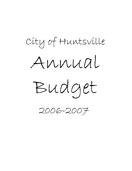# Annual Budget City of Huntsville 2006-2007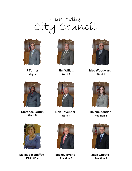# Huntsville City Council



**J Turner Mayor**



**Jim Willett Ward 1**



**Mac Woodward Ward 2**



**Clarence Griffin Ward 3**



**Melissa Mahaffey Position 2**



**Bob Tavenner Ward 4**



**Mickey Evans Position 3**



**Dalene Zender Position 1**



**Jack Choate Position 4**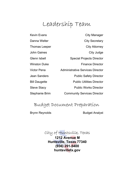## Leadership Team

Stephanie Brim Community Services Director Steve Stacy **Public Works Director Bill Daugette Public Utilities Director** Jean Sanders **Public Safety Director** Victor Pena Administrative Services Director Winston Duke **Finance Director** Glenn Isbell Special Projects Director John Gaines **City** Judge Thomas Leeper City Attorney Danna Welter **City Secretary** Kevin Evans **City Manager** 

### Budget Document Preparation

Brynn Reynolds Budget Analyst

City of Huntsville, Texas **1212 Avenue M Huntsville, Texas 77340 (936) 291-5400 huntsvilletx.gov**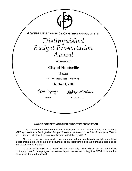| GOVERNMENT FINANCE OFFICERS ASSOCIATION |  |  |
|-----------------------------------------|--|--|
| Distinguished                           |  |  |
| <b>Budget Presentation</b>              |  |  |
| Award                                   |  |  |
| PRESENTED TO                            |  |  |
| <b>City of Huntsville</b>               |  |  |
| <b>Texas</b>                            |  |  |
| For the<br>Fiscal Year<br>Beginning     |  |  |
| <b>October 1, 2005</b>                  |  |  |
| Carla Exerge<br>r k. Emou               |  |  |
| President<br><b>Executive Director</b>  |  |  |
|                                         |  |  |
|                                         |  |  |
|                                         |  |  |

#### **AWARD FOR DISTINGUISHED BUDGET PRESENTATION**

"The Government Finance Officers Association of the United States and Canada (GFOA) presented a Distinguished Budget Presentation Award to the City of Huntsville, Texas, for its annual budget for the fiscal year beginning October 1, 2005."

"In order to receive this award, a governmental unit must publish a budget document that meets program criteria as a policy document, as an operations guide, as a financial plan and as a communications device."

This award is valid for a period of one year only. We believe our current budget continues to conform to program requirements, and we are submitting it to GFOA to determine its eligibility for another award.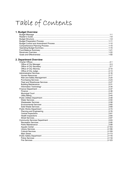# Table of Contents

#### 1. Budget Overview

#### 2. Department Overview